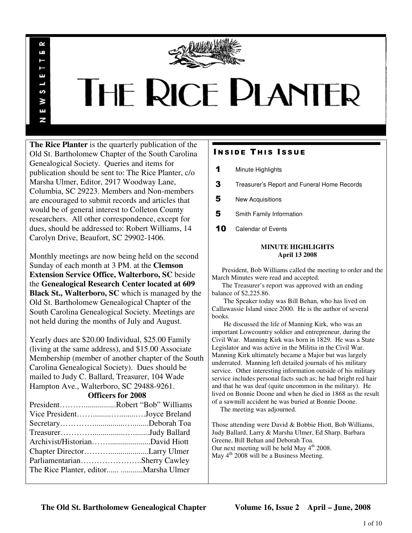

# **THE RICE PLANTER**

**The Rice Planter** is the quarterly publication of the Old St. Bartholomew Chapter of the South Carolina Genealogical Society. Queries and items for publication should be sent to: The Rice Planter, c/o Marsha Ulmer, Editor, 2917 Woodway Lane, Columbia, SC 29223. Members and Non-members are encouraged to submit records and articles that would be of general interest to Colleton County researchers. All other correspondence, except for dues, should be addressed to: Robert Williams, 14 Carolyn Drive, Beaufort, SC 29902-1406.

R uń

ш

S ¥ E N

Monthly meetings are now being held on the second Sunday of each month at 3 PM. at the **Clemson Extension Service Office, Walterboro, SC** beside the **Genealogical Research Center located at 609 Black St., Walterboro, SC** which is managed by the Old St. Bartholomew Genealogical Chapter of the South Carolina Genealogical Society. Meetings are not held during the months of July and August.

Yearly dues are \$20.00 Individual, \$25.00 Family (living at the same address), and \$15.00 Associate Membership (member of another chapter of the South Carolina Genealogical Society). Dues should be mailed to Judy C. Ballard, Treasurer, 104 Wade Hampton Ave., Walterboro, SC 29488-9261.

# **Officers for 2008**

| PresidentRobert "Bob" Williams        |  |
|---------------------------------------|--|
| Vice PresidentJoyce Breland           |  |
|                                       |  |
|                                       |  |
|                                       |  |
|                                       |  |
| ParliamentarianSherry Cawley          |  |
| The Rice Planter, editor Marsha Ulmer |  |
|                                       |  |

# **INSIDE THIS ISSUE**

- 1 Minute Highlights
- 3 Treasurer's Report and Funeral Home Records
- 5 New Acquisitions
- 5 Smith Family Information
- 10 Calendar of Events

# **MINUTE HIGHLIGHTS April 13 2008**

 President, Bob Williams called the meeting to order and the March Minutes were read and accepted.

 The Treasurer's report was approved with an ending balance of \$2,225.86.

 The Speaker today was Bill Behan, who has lived on Callawassie Island since 2000. He is the author of several books.

 He discussed the life of Manning Kirk, who was an important Lowcountry soldier and entrepreneur, during the Civil War. Manning Kirk was born in 1829. He was a State Legislator and was active in the Militia in the Civil War. Manning Kirk ultimately became a Major but was largely underrated. Manning left detailed journals of his military service. Other interesting information outside of his military service includes personal facts such as; he had bright red hair and that he was deaf (quite uncommon in the military). He lived on Bonnie Doone and when he died in 1868 as the result of a sawmill accident he was buried at Bonnie Doone.

The meeting was adjourned.

Those attending were David & Bobbie Hiott, Bob Williams, Judy Ballard, Larry & Marsha Ulmer, Ed Sharp, Barbara Greene, Bill Behan and Deborah Toa. Our next meeting will be held May 4<sup>th</sup> 2008. May 4<sup>th</sup> 2008 will be a Business Meeting.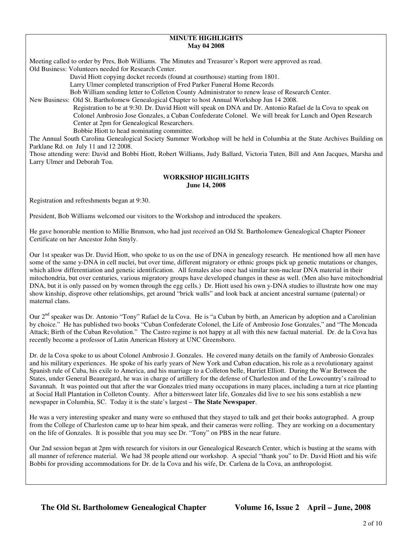# **MINUTE HIGHLIGHTS May 04 2008**

Meeting called to order by Pres, Bob Williams. The Minutes and Treasurer's Report were approved as read. Old Business: Volunteers needed for Research Center.

David Hiott copying docket records (found at courthouse) starting from 1801.

Larry Ulmer completed transcription of Fred Parker Funeral Home Records

Bob William sending letter to Colleton County Administrator to renew lease of Research Center.

New Business: Old St. Bartholomew Genealogical Chapter to host Annual Workshop Jun 14 2008.

 Registration to be at 9:30. Dr. David Hiott will speak on DNA and Dr. Antonio Rafael de la Cova to speak on Colonel Ambrosio Jose Gonzales, a Cuban Confederate Colonel. We will break for Lunch and Open Research Center at 2pm for Genealogical Researchers.

Bobbie Hiott to head nominating committee.

The Annual South Carolina Genealogical Society Summer Workshop will be held in Columbia at the State Archives Building on Parklane Rd. on July 11 and 12 2008.

Those attending were: David and Bobbi Hiott, Robert Williams, Judy Ballard, Victoria Tuten, Bill and Ann Jacques, Marsha and Larry Ulmer and Deborah Toa.

# **WORKSHOP HIGHLIGHTS June 14, 2008**

Registration and refreshments began at 9:30.

President, Bob Williams welcomed our visitors to the Workshop and introduced the speakers.

He gave honorable mention to Millie Brunson, who had just received an Old St. Bartholomew Genealogical Chapter Pioneer Certificate on her Ancestor John Smyly.

Our 1st speaker was Dr. David Hiott, who spoke to us on the use of DNA in genealogy research. He mentioned how all men have some of the same y-DNA in cell nuclei, but over time, different migratory or ethnic groups pick up genetic mutations or changes, which allow differentiation and genetic identification. All females also once had similar non-nuclear DNA material in their mitochondria, but over centuries, various migratory groups have developed changes in these as well. (Men also have mitochondrial DNA, but it is only passed on by women through the egg cells.) Dr. Hiott used his own y-DNA studies to illustrate how one may show kinship, disprove other relationships, get around "brick walls" and look back at ancient ancestral surname (paternal) or maternal clans.

Our 2<sup>nd</sup> speaker was Dr. Antonio "Tony" Rafael de la Cova. He is "a Cuban by birth, an American by adoption and a Carolinian by choice." He has published two books "Cuban Confederate Colonel, the Life of Ambrosio Jose Gonzales," and "The Moncada Attack; Birth of the Cuban Revolution." The Castro regime is not happy at all with this new factual material. Dr. de la Cova has recently become a professor of Latin American History at UNC Greensboro.

Dr. de la Cova spoke to us about Colonel Ambrosio J. Gonzales. He covered many details on the family of Ambrosio Gonzales and his military experiences. He spoke of his early years of New York and Cuban education, his role as a revolutionary against Spanish rule of Cuba, his exile to America, and his marriage to a Colleton belle, Harriet Elliott. During the War Between the States, under General Beauregard, he was in charge of artillery for the defense of Charleston and of the Lowcountry's railroad to Savannah. It was pointed out that after the war Gonzales tried many occupations in many places, including a turn at rice planting at Social Hall Plantation in Colleton County. After a bittersweet later life, Gonzales did live to see his sons establish a new newspaper in Columbia, SC. Today it is the state's largest – **The State Newspaper**.

He was a very interesting speaker and many were so enthused that they stayed to talk and get their books autographed. A group from the College of Charleston came up to hear him speak, and their cameras were rolling. They are working on a documentary on the life of Gonzales. It is possible that you may see Dr. "Tony" on PBS in the near future.

Our 2nd session began at 2pm with research for visitors in our Genealogical Research Center, which is busting at the seams with all manner of reference material. We had 38 people attend our workshop. A special "thank you" to Dr. David Hiott and his wife Bobbi for providing accommodations for Dr. de la Cova and his wife, Dr. Carlena de la Cova, an anthropologist.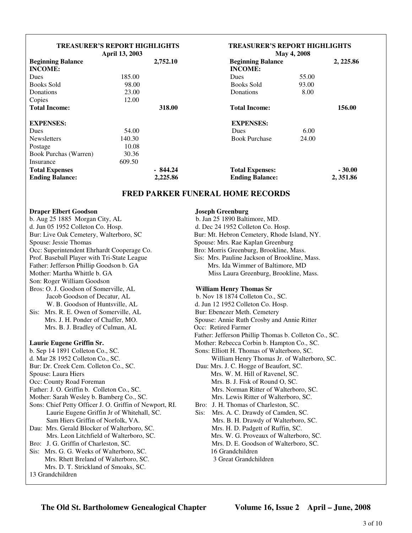| <b>TREASURER'S REPORT HIGHLIGHTS</b><br>April 13, 2003 |          |           | <b>TREASURER'S REPORT HIGHLIGHTS</b><br>May 4, 2008 |                          |          |
|--------------------------------------------------------|----------|-----------|-----------------------------------------------------|--------------------------|----------|
| <b>Beginning Balance</b>                               | 2,752.10 |           |                                                     | <b>Beginning Balance</b> |          |
| <b>INCOME:</b>                                         |          |           | <b>INCOME:</b>                                      |                          |          |
| Dues                                                   | 185.00   |           | <b>Dues</b>                                         | 55.00                    |          |
| <b>Books Sold</b>                                      | 98.00    |           | <b>Books Sold</b>                                   | 93.00                    |          |
| Donations                                              | 23.00    |           | Donations                                           | 8.00                     |          |
| Copies                                                 | 12.00    |           |                                                     |                          |          |
| <b>Total Income:</b>                                   |          | 318.00    | <b>Total Income:</b>                                |                          | 156.00   |
| <b>EXPENSES:</b>                                       |          |           | <b>EXPENSES:</b>                                    |                          |          |
| Dues                                                   | 54.00    |           | <b>Dues</b>                                         | 6.00                     |          |
| <b>Newsletters</b>                                     | 140.30   |           | <b>Book Purchase</b>                                | 24.00                    |          |
| Postage                                                | 10.08    |           |                                                     |                          |          |
| Book Purchas (Warren)                                  | 30.36    |           |                                                     |                          |          |
| Insurance                                              | 609.50   |           |                                                     |                          |          |
| <b>Total Expenses</b>                                  |          | $-844.24$ | <b>Total Expenses:</b>                              |                          | $-30.00$ |
| <b>Ending Balance:</b>                                 |          | 2,225.86  | <b>Ending Balance:</b>                              |                          | 2,351.86 |

# **FRED PARKER FUNERAL HOME RECORDS**

| <b>Draper Elbert Goodson</b>                            | <b>Joseph Greenburg</b>                               |  |  |
|---------------------------------------------------------|-------------------------------------------------------|--|--|
| b. Aug 25 1885 Morgan City, AL                          | b. Jan 25 1890 Baltimore, MD.                         |  |  |
| d. Jun 05 1952 Colleton Co. Hosp.                       | d. Dec 24 1952 Colleton Co. Hosp.                     |  |  |
| Bur: Live Oak Cemetery, Walterboro, SC                  | Bur: Mt. Hebron Cemetery, Rhode Island, NY.           |  |  |
| Spouse: Jessie Thomas                                   | Spouse: Mrs. Rae Kaplan Greenburg                     |  |  |
| Occ: Superintendent Ehrhardt Cooperage Co.              | Bro: Morris Greenburg, Brookline, Mass.               |  |  |
| Prof. Baseball Player with Tri-State League             | Sis: Mrs. Pauline Jackson of Brookline, Mass.         |  |  |
| Father: Jefferson Phillip Goodson b. GA                 | Mrs. Ida Wimmer of Baltimore, MD                      |  |  |
| Mother: Martha Whittle b. GA                            | Miss Laura Greenburg, Brookline, Mass.                |  |  |
| Son: Roger William Goodson                              |                                                       |  |  |
| Bros: O. J. Goodson of Somerville, AL                   | <b>William Henry Thomas Sr</b>                        |  |  |
| Jacob Goodson of Decatur, AL                            | b. Nov 18 1874 Colleton Co., SC.                      |  |  |
| W. B. Goodson of Huntsville, AL                         | d. Jun 12 1952 Colleton Co. Hosp.                     |  |  |
| Sis: Mrs. R. E. Owen of Somerville, AL                  | Bur: Ebenezer Meth. Cemetery                          |  |  |
| Mrs. J. H. Ponder of Chaffer, MO.                       | Spouse: Annie Ruth Crosby and Annie Ritter            |  |  |
| Mrs. B. J. Bradley of Culman, AL                        | Occ: Retired Farmer                                   |  |  |
|                                                         | Father: Jefferson Phillip Thomas b. Colleton Co., SC. |  |  |
| Laurie Eugene Griffin Sr.                               | Mother: Rebecca Corbin b. Hampton Co., SC.            |  |  |
| b. Sep 14 1891 Colleton Co., SC.                        | Sons: Elliott H. Thomas of Walterboro, SC.            |  |  |
| d. Mar 28 1952 Colleton Co., SC.                        | William Henry Thomas Jr. of Walterboro, SC.           |  |  |
| Bur: Dr. Creek Cem. Colleton Co., SC.                   | Dau: Mrs. J. C. Hogge of Beaufort, SC.                |  |  |
| Spouse: Laura Hiers                                     | Mrs. W. M. Hill of Ravenel, SC.                       |  |  |
| Occ: County Road Foreman                                | Mrs. B. J. Fisk of Round O, SC.                       |  |  |
| Father: J. O. Griffin b. Colleton Co., SC.              | Mrs. Norman Ritter of Walterboro, SC.                 |  |  |
| Mother: Sarah Wesley b. Bamberg Co., SC.                | Mrs. Lewis Ritter of Walterboro, SC.                  |  |  |
| Sons: Chief Petty Officer J. O. Griffin of Newport, RI. | Bro: J. H. Thomas of Charleston, SC.                  |  |  |
| Laurie Eugene Griffin Jr of Whitehall, SC.              | Sis:<br>Mrs. A. C. Drawdy of Camden, SC.              |  |  |
| Sam Hiers Griffin of Norfolk, VA.                       | Mrs. B. H. Drawdy of Walterboro, SC.                  |  |  |
| Dau: Mrs. Gerald Blocker of Walterboro, SC.             | Mrs. H. D. Padgett of Ruffin, SC.                     |  |  |
| Mrs. Leon Litchfield of Walterboro, SC.                 | Mrs. W. G. Proveaux of Walterboro, SC.                |  |  |
| Bro: J. G. Griffin of Charleston, SC.                   | Mrs. D. E. Goodson of Walterboro, SC.                 |  |  |
| Sis: Mrs. G. G. Weeks of Walterboro, SC.                | 16 Grandchildren                                      |  |  |
| Mrs. Rhett Breland of Walterboro, SC.                   | 3 Great Grandchildren                                 |  |  |
| Mrs. D. T. Strickland of Smoaks, SC.                    |                                                       |  |  |
| 13 Grandchildren                                        |                                                       |  |  |
|                                                         |                                                       |  |  |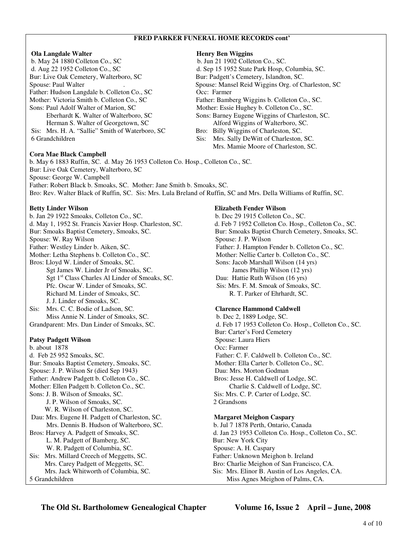# **FRED PARKER FUNERAL HOME RECORDS cont'**

# **Ola Langdale Walter Henry Ben Wiggins**

b. May 24 1880 Colleton Co., SC b. Jun 21 1902 Colleton Co., SC. d. Aug 22 1952 Colleton Co., SC d. Sep 15 1952 State Park Hosp, Columbia, SC. Bur: Live Oak Cemetery, Walterboro, SC Bur: Padgett's Cemetery, Islandton, SC. Father: Hudson Langdale b. Colleton Co., SC Occ: Farmer Mother: Victoria Smith b. Colleton Co., SC Father: Bamberg Wiggins b. Colleton Co., SC. Sons: Paul Adolf Walter of Marion, SC Mother: Essie Hughey b. Colleton Co., SC. Herman S. Walter of Georgetown, SC Alford Wiggins of Walterboro, SC. Sis: Mrs. H. A. "Sallie" Smith of Waterboro, SC Bro: Billy Wiggins of Charleston, SC. 6 Grandchildren Sis: Mrs. Sally DeWitt of Charleston, SC.

# **Cora Mae Black Campbell**

Spouse: Paul Walter . Spouse: Mansel Reid Wiggins Org. of Charleston, SC Eberhardt K. Walter of Walterboro, SC Sons: Barney Eugene Wiggins of Charleston, SC.

Mrs. Mamie Moore of Charleston, SC.

b. May 6 1883 Ruffin, SC. d. May 26 1953 Colleton Co. Hosp., Colleton Co., SC. Bur: Live Oak Cemetery, Walterboro, SC Spouse: George W. Campbell Father: Robert Black b. Smoaks, SC. Mother: Jane Smith b. Smoaks, SC. Bro: Rev. Walter Black of Ruffin, SC. Sis: Mrs. Lula Breland of Ruffin, SC and Mrs. Della Williams of Ruffin, SC.

b. Jan 29 1922 Smoaks, Colleton Co., SC. b. Dec 29 1915 Colleton Co., SC. d. May 1, 1952 St. Francis Xavier Hosp. Charleston, SC. d. Feb 7 1952 Colleton Co. Hosp., Colleton Co., SC. Bur: Smoaks Baptist Cemetery, Smoaks, SC. Bur: Smoaks Baptist Church Cemetery, Smoaks, SC. Spouse: W. Ray Wilson Spouse: J. P. Wilson Father: Westley Linder b. Aiken, SC. Father: J. Hampton Fender b. Colleton Co., SC. Mother: Letha Stephens b. Colleton Co., SC. Mother: Nellie Carter b. Colleton Co., SC. Bros: Lloyd W. Linder of Smoaks, SC. Sons: Jacob Marshall Wilson (14 yrs) Sgt James W. Linder Jr of Smoaks, SC. James Phillip Wilson (12 yrs) Sgt 1<sup>st</sup> Class Charles Al Linder of Smoaks, SC. Dau: Hattie Ruth Wilson (16 yrs) Pfc. Oscar W. Linder of Smoaks, SC. Sis: Mrs. F. M. Smoak of Smoaks, SC. Richard M. Linder of Smoaks, SC. R. T. Parker of Ehrhardt, SC. J. J. Linder of Smoaks, SC. Sis: Mrs. C. C. Bodie of Ladson, SC. **Clarence Hammond Caldwell**  Miss Annie N. Linder of Smoaks, SC. b. Dec 2, 1889 Lodge, SC.

b. about 1878 Occ: Farmer d. Feb 25 952 Smoaks, SC. Father: C. F. Caldwell b. Colleton Co., SC. Bur: Smoaks Baptist Cemetery, Smoaks, SC. Mother: Ella Carter b. Colleton Co., SC. Spouse: J. P. Wilson Sr (died Sep 1943) Dau: Mrs. Morton Godman Father: Andrew Padgett b. Colleton Co., SC. Bros: Jesse H. Caldwell of Lodge, SC. Mother: Ellen Padgett b. Colleton Co., SC. Charlie S. Caldwell of Lodge, SC. Sons: J. B. Wilson of Smoaks, SC. Sis: Mrs. C. P. Carter of Lodge, SC. J. P. Wilson of Smoaks, SC. 2 Grandsons W. R. Wilson of Charleston, SC. Dau: Mrs. Eugene H. Padgett of Charleston, SC. **Margaret Meighon Caspary** Mrs. Dennis B. Hudson of Walterboro, SC. b. Jul 7 1878 Perth, Ontario, Canada L. M. Padgett of Bamberg, SC. Bur: New York City W. R. Padgett of Columbia, SC. Spouse: A. H. Caspary Sis: Mrs. Millard Creech of Meggetts, SC. Father: Unknown Meighon b. Ireland

# **Betty Linder Wilson Elizabeth Fender Wilson**

Grandparent: Mrs. Dan Linder of Smoaks, SC. d. Feb 17 1953 Colleton Co. Hosp., Colleton Co., SC. Bur: Carter's Ford Cemetery **Patsy Padgett Wilson Spouse: Laura Hiers** Spouse: Laura Hiers

Bros: Harvey A. Padgett of Smoaks, SC. d. Jan 23 1953 Colleton Co. Hosp., Colleton Co., SC. Mrs. Carey Padgett of Meggetts, SC. Bro: Charlie Meighon of San Francisco, CA. Mrs. Jack Whitworth of Columbia, SC. Sis: Mrs. Elinor B. Austin of Los Angeles, CA. 5 Grandchildren Miss Agnes Meighon of Palms, CA.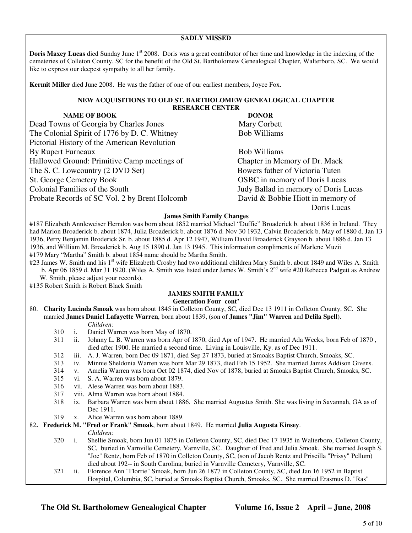# **SADLY MISSED**

**Doris Maxey Lucas** died Sunday June 1<sup>st</sup> 2008. Doris was a great contributor of her time and knowledge in the indexing of the cemeteries of Colleton County, SC for the benefit of the Old St. Bartholomew Genealogical Chapter, Walterboro, SC. We would like to express our deepest sympathy to all her family.

**Kermit Miller** died June 2008. He was the father of one of our earliest members, Joyce Fox.

## **NEW ACQUISITIONS TO OLD ST. BARTHOLOMEW GENEALOGICAL CHAPTER RESEARCH CENTER**

| <b>NAME OF BOOK</b>                           | <b>DONOR</b>                         |
|-----------------------------------------------|--------------------------------------|
| Dead Towns of Georgia by Charles Jones        | Mary Corbett                         |
| The Colonial Spirit of 1776 by D. C. Whitney  | <b>Bob Williams</b>                  |
| Pictorial History of the American Revolution  |                                      |
| By Rupert Furneaux                            | <b>Bob Williams</b>                  |
| Hallowed Ground: Primitive Camp meetings of   | Chapter in Memory of Dr. Mack        |
| The S. C. Lowcountry (2 DVD Set)              | Bowers father of Victoria Tuten      |
| <b>St. George Cemetery Book</b>               | <b>OSBC</b> in memory of Doris Lucas |
| Colonial Families of the South                | Judy Ballad in memory of Doris Lucas |
| Probate Records of SC Vol. 2 by Brent Holcomb | David & Bobbie Hiott in memory of    |
|                                               | Doris Lucas                          |

### **James Smith Family Changes**

#187 Elizabeth Annleweiser Herndon was born about 1852 married Michael "Duffie" Broaderick b. about 1836 in Ireland. They had Marion Broaderick b. about 1874, Julia Broaderick b. about 1876 d. Nov 30 1932, Calvin Broaderick b. May of 1880 d. Jan 13 1936, Perry Benjamin Broderick Sr. b. about 1885 d. Apr 12 1947, William David Broaderick Grayson b. about 1886 d. Jan 13 1936, and William M. Broaderick b. Aug 15 1890 d. Jan 13 1945. This information compliments of Marlene Muzii #179 Mary "Martha" Smith b. about 1854 name should be Martha Smith.

#23 James W. Smith and his 1<sup>st</sup> wife Elizabeth Crosby had two additional children Mary Smith b. about 1849 and Wiles A. Smith b. Apr 06 1859 d. Mar 31 1920. (Wiles A. Smith was listed under James W. Smith's 2<sup>nd</sup> wife #20 Rebecca Padgett as Andrew W. Smith, please adjust your records).

#135 Robert Smith is Robert Black Smith

# **JAMES SMITH FAMILY**

# **Generation Four cont'**

80. **Charity Lucinda Smoak** was born about 1845 in Colleton County, SC, died Dec 13 1911 in Colleton County, SC. She married **James Daniel Lafayette Warren**, born about 1839, (son of **James "Jim" Warren** and **Delila Spell**). *Children:*

- 310 i. Daniel Warren was born May of 1870.
- 311 ii. Johnny L. B. Warren was born Apr of 1870, died Apr of 1947. He married Ada Weeks, born Feb of 1870 , died after 1900. He married a second time. Living in Louisville, Ky. as of Dec 1911.
- 312 iii. A. J. Warren, born Dec 09 1871, died Sep 27 1873, buried at Smoaks Baptist Church, Smoaks, SC.
- 313 iv. Minnie Sheldonia Warren was born Mar 29 1873, died Feb 15 1952. She married James Addison Givens.
- 314 v. Amelia Warren was born Oct 02 1874, died Nov of 1878, buried at Smoaks Baptist Church, Smoaks, SC.
- 315 vi. S. A. Warren was born about 1879.
- 316 vii. Alese Warren was born about 1883.
- 317 viii. Alma Warren was born about 1884.
- 318 ix. Barbara Warren was born about 1886. She married Augustus Smith. She was living in Savannah, GA as of Dec 1911.
- 319 x. Alice Warren was born about 1889.

# 82**. Frederick M. "Fred or Frank" Smoak**, born about 1849. He married **Julia Augusta Kinsey**.

*Children:*

- 320 i. Shellie Smoak, born Jun 01 1875 in Colleton County, SC, died Dec 17 1935 in Walterboro, Colleton County, SC, buried in Varnville Cemetery, Varnville, SC. Daughter of Fred and Julia Smoak. She married Joseph S. "Joe" Rentz, born Feb of 1870 in Colleton County, SC, (son of Jacob Rentz and Priscilla "Prissy" Pellum) died about 192-- in South Carolina, buried in Varnville Cemetery, Varnville, SC.
- 321 ii. Florence Ann "Florrie" Smoak, born Jun 26 1877 in Colleton County, SC, died Jan 16 1952 in Baptist Hospital, Columbia, SC, buried at Smoaks Baptist Church, Smoaks, SC. She married Erasmus D. "Ras"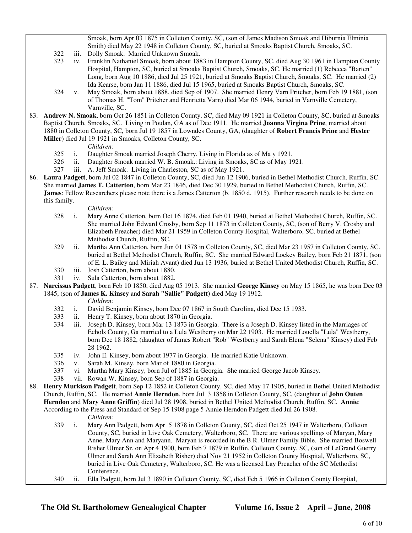Smoak, born Apr 03 1875 in Colleton County, SC, (son of James Madison Smoak and Hiburnia Elminia Smith) died May 22 1948 in Colleton County, SC, buried at Smoaks Baptist Church, Smoaks, SC.

- 322 iii. Dolly Smoak. Married Unknown Smoak.
- 323 iv. Franklin Nathaniel Smoak, born about 1883 in Hampton County, SC, died Aug 30 1961 in Hampton County Hospital, Hampton, SC, buried at Smoaks Baptist Church, Smoaks, SC. He married (1) Rebecca "Barten" Long, born Aug 10 1886, died Jul 25 1921, buried at Smoaks Baptist Church, Smoaks, SC. He married (2) Ida Kearse, born Jan 11 1886, died Jul 15 1965, buried at Smoaks Baptist Church, Smoaks, SC.
- 324 v. May Smoak, born about 1888, died Sep of 1907. She married Henry Varn Pritcher, born Feb 19 1881, (son of Thomas H. "Tom" Pritcher and Henrietta Varn) died Mar 06 1944, buried in Varnville Cemetery, Varnville, SC.
- 83. **Andrew N. Smoak**, born Oct 26 1851 in Colleton County, SC, died May 09 1921 in Colleton County, SC, buried at Smoaks Baptist Church, Smoaks, SC. Living in Poulan, GA as of Dec 1911. He married **Joanna Virgina Prine**, married about 1880 in Colleton County, SC, born Jul 19 1857 in Lowndes County, GA, (daughter of **Robert Francis Prine** and **Hester Miller**) died Jul 19 1921 in Smoaks, Colleton County, SC.

# *Children:*

- 325 i. Daughter Smoak married Joseph Cherry. Living in Florida as of Ma y 1921.
- 326 ii. Daughter Smoak married W. B. Smoak.: Living in Smoaks, SC as of May 1921.
- 327 iii. A. Jeff Smoak. Living in Charleston, SC as of May 1921.
- 86. **Laura Padgett**, born Jul 02 1847 in Colleton County, SC, died Jun 12 1906, buried in Bethel Methodist Church, Ruffin, SC. She married **James T. Catterton**, born Mar 23 1846, died Dec 30 1929, buried in Bethel Methodist Church, Ruffin, SC. **James**: Fellow Researchers please note there is a James Catterton (b. 1850 d. 1915). Further research needs to be done on this family.

### *Children:*

- 328 i. Mary Anne Catterton, born Oct 16 1874, died Feb 01 1940, buried at Bethel Methodist Church, Ruffin, SC. She married John Edward Crosby, born Sep 11 1873 in Colleton County, SC, (son of Berry V. Crosby and Elizabeth Preacher) died Mar 21 1959 in Colleton County Hospital, Walterboro, SC, buried at Bethel Methodist Church, Ruffin, SC.
- 329 ii. Martha Ann Catterton, born Jun 01 1878 in Colleton County, SC, died Mar 23 1957 in Colleton County, SC. buried at Bethel Methodist Church, Ruffin, SC. She married Edward Lockey Bailey, born Feb 21 1871, (son of E. L. Bailey and Miriah Avant) died Jun 13 1936, buried at Bethel United Methodist Church, Ruffin, SC.
- 330 iii. Josh Catterton, born about 1880.
- 331 iv. Sula Catterton, born about 1882.
- 87. **Narcissus Padgett**, born Feb 10 1850, died Aug 05 1913. She married **George Kinsey** on May 15 1865, he was born Dec 03 1845, (son of **James K. Kinsey** and **Sarah "Sallie" Padgett)** died May 19 1912.
	- *Children:*
	- 332 i. David Benjamin Kinsey, born Dec 07 1867 in South Carolina, died Dec 15 1933.
	- 333 ii. Henry T. Kinsey, born about 1870 in Georgia.
	- 334 iii. Joseph D. Kinsey, born Mar 13 1873 in Georgia. There is a Joseph D. Kinsey listed in the Marriages of Echols County, Ga married to a Lula Westberry on Mar 22 1903. He married Louella "Lula" Westberry, born Dec 18 1882, (daughter of James Robert "Rob" Westberry and Sarah Elena "Selena" Kinsey) died Feb 28 1962.
	- 335 iv. John E. Kinsey, born about 1977 in Georgia. He married Katie Unknown.
	- 336 v. Sarah M. Kinsey, born Mar of 1880 in Georgia.
	- 337 vi. Martha Mary Kinsey, born Jul of 1885 in Georgia. She married George Jacob Kinsey.
	- 338 vii. Rowan W. Kinsey, born Sep of 1887 in Georgia.
- 88. **Henry Murkison Padgett**, born Sep 12 1852 in Colleton County, SC, died May 17 1905, buried in Bethel United Methodist Church, Ruffin, SC. He married **Annie Herndon**, born Jul 3 1858 in Colleton County, SC, (daughter of **John Outen Herndon** and **Mary Anne Griffin**) died Jul 28 1908, buried in Bethel United Methodist Church, Ruffin, SC. **Annie**: According to the Press and Standard of Sep 15 1908 page 5 Annie Herndon Padgett died Jul 26 1908.

*Children:*

- 339 i. Mary Ann Padgett, born Apr 5 1878 in Colleton County, SC, died Oct 25 1947 in Walterboro, Colleton County, SC, buried in Live Oak Cemetery, Walterboro, SC. There are various spellings of Maryan, Mary Anne, Mary Ann and Maryann. Maryan is recorded in the B.R. Ulmer Family Bible. She married Boswell Risher Ulmer Sr. on Apr 4 1900, born Feb 7 1879 in Ruffin, Colleton County, SC, (son of LeGrand Guerry Ulmer and Sarah Ann Elizabeth Risher) died Nov 21 1952 in Colleton County Hospital, Walterboro, SC, buried in Live Oak Cemetery, Walterboro, SC. He was a licensed Lay Preacher of the SC Methodist Conference.
- 340 ii. Ella Padgett, born Jul 3 1890 in Colleton County, SC, died Feb 5 1966 in Colleton County Hospital,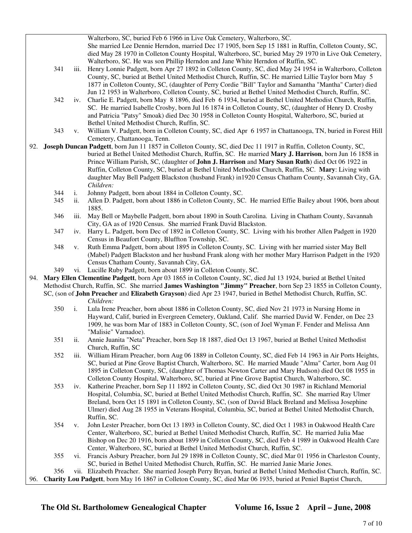|     |     |      | Walterboro, SC, buried Feb 6 1966 in Live Oak Cemetery, Walterboro, SC.                                           |
|-----|-----|------|-------------------------------------------------------------------------------------------------------------------|
|     |     |      | She married Lee Dennie Herndon, married Dec 17 1905, born Sep 15 1881 in Ruffin, Colleton County, SC,             |
|     |     |      | died May 28 1970 in Colleton County Hospital, Walterboro, SC, buried May 29 1970 in Live Oak Cemetery,            |
|     |     |      | Walterboro, SC. He was son Phillip Herndon and Jane White Herndon of Ruffin, SC.                                  |
|     | 341 | iii. | Henry Lonnie Padgett, born Apr 27 1892 in Colleton County, SC, died May 24 1954 in Walterboro, Colleton           |
|     |     |      | County, SC, buried at Bethel United Methodist Church, Ruffin, SC. He married Lillie Taylor born May 5             |
|     |     |      |                                                                                                                   |
|     |     |      | 1877 in Colleton County, SC, (daughter of Perry Cordie "Bill" Taylor and Samantha "Mantha" Carter) died           |
|     |     |      | Jun 12 1953 in Walterboro, Colleton County, SC, buried at Bethel United Methodist Church, Ruffin, SC.             |
|     | 342 | iv.  | Charlie E. Padgett, born May 8 1896, died Feb 6 1934, buried at Bethel United Methodist Church, Ruffin,           |
|     |     |      | SC. He married Isabelle Crosby, born Jul 16 1874 in Colleton County, SC, (daughter of Henry D. Crosby             |
|     |     |      | and Patricia "Patsy" Smoak) died Dec 30 1958 in Colleton County Hospital, Walterboro, SC, buried at               |
|     |     |      | Bethel United Methodist Church, Ruffin, SC.                                                                       |
|     | 343 | V.   | William V. Padgett, born in Colleton County, SC, died Apr 6 1957 in Chattanooga, TN, buried in Forest Hill        |
|     |     |      | Cemetery, Chattanooga, Tenn.                                                                                      |
| 92. |     |      | Joseph Duncan Padgett, born Jun 11 1857 in Colleton County, SC, died Dec 11 1917 in Ruffin, Colleton County, SC,  |
|     |     |      | buried at Bethel United Methodist Church, Ruffin, SC. He married Mary J. Harrison, born Jun 16 1858 in            |
|     |     |      | Prince William Parish, SC, (daughter of John J. Harrison and Mary Susan Ruth) died Oct 06 1922 in                 |
|     |     |      | Ruffin, Colleton County, SC, buried at Bethel United Methodist Church, Ruffin, SC. Mary: Living with              |
|     |     |      | daughter May Bell Padgett Blackston (husband Frank) in 1920 Census Chatham County, Savannah City, GA.             |
|     |     |      | Children:                                                                                                         |
|     | 344 | i.   | Johnny Padgett, born about 1884 in Colleton County, SC.                                                           |
|     | 345 | ii.  | Allen D. Padgett, born about 1886 in Colleton County, SC. He married Effie Bailey about 1906, born about          |
|     |     |      | 1885.                                                                                                             |
|     | 346 | iii. | May Bell or Maybelle Padgett, born about 1890 in South Carolina. Living in Chatham County, Savannah               |
|     |     |      | City, GA as of 1920 Census. She married Frank David Blackston.                                                    |
|     | 347 | iv.  | Harry L. Padgett, born Dec of 1892 in Colleton County, SC. Living with his brother Allen Padgett in 1920          |
|     |     |      | Census in Beaufort County, Bluffton Township, SC.                                                                 |
|     | 348 | V.   | Ruth Emma Padgett, born about 1895 in Colleton County, SC. Living with her married sister May Bell                |
|     |     |      | (Mabel) Padgett Blackston and her husband Frank along with her mother Mary Harrison Padgett in the 1920           |
|     |     |      | Census Chatham County, Savannah City, GA.                                                                         |
|     | 349 |      | vi. Lucille Ruby Padgett, born about 1899 in Colleton County, SC.                                                 |
| 94. |     |      | Mary Ellen Clementine Padgett, born Apr 03 1865 in Colleton County, SC, died Jul 13 1924, buried at Bethel United |
|     |     |      | Methodist Church, Ruffin, SC. She married James Washington "Jimmy" Preacher, born Sep 23 1855 in Colleton County, |
|     |     |      | SC, (son of John Preacher and Elizabeth Grayson) died Apr 23 1947, buried in Bethel Methodist Church, Ruffin, SC. |
|     |     |      | Children:                                                                                                         |
|     | 350 | i.   | Lula Irene Preacher, born about 1886 in Colleton County, SC, died Nov 21 1973 in Nursing Home in                  |
|     |     |      | Hayward, Calif, buried in Evergreen Cemetery, Oakland, Calif. She married David W. Fender, on Dec 23              |
|     |     |      | 1909, he was born Mar of 1883 in Colleton County, SC, (son of Joel Wyman F. Fender and Melissa Ann                |
|     |     |      | "Malisie" Varnadoe).                                                                                              |
|     | 351 | ii.  | Annie Juanita "Neta" Preacher, born Sep 18 1887, died Oct 13 1967, buried at Bethel United Methodist              |
|     |     |      | Church, Ruffin, SC                                                                                                |
|     | 352 | iii. | William Hiram Preacher, born Aug 06 1889 in Colleton County, SC, died Feb 14 1963 in Air Ports Heights,           |
|     |     |      | SC, buried at Pine Grove Baptist Church, Walterboro, SC. He married Maude "Alma" Carter, born Aug 01              |
|     |     |      |                                                                                                                   |
|     |     |      | 1895 in Colleton County, SC, (daughter of Thomas Newton Carter and Mary Hudson) died Oct 08 1955 in               |
|     |     |      | Colleton County Hospital, Walterboro, SC, buried at Pine Grove Baptist Church, Walterboro, SC.                    |
|     | 353 | iv.  | Katherine Preacher, born Sep 11 1892 in Colleton County, SC, died Oct 30 1987 in Richland Memorial                |
|     |     |      | Hospital, Columbia, SC, buried at Bethel United Methodist Church, Ruffin, SC. She married Ray Ulmer               |
|     |     |      | Breland, born Oct 15 1891 in Colleton County, SC, (son of David Black Breland and Melissa Josephine               |
|     |     |      | Ulmer) died Aug 28 1955 in Veterans Hospital, Columbia, SC, buried at Bethel United Methodist Church,             |
|     |     |      | Ruffin, SC.                                                                                                       |
|     | 354 | V.   | John Lester Preacher, born Oct 13 1893 in Colleton County, SC, died Oct 1 1983 in Oakwood Health Care             |
|     |     |      | Center, Walterboro, SC, buried at Bethel United Methodist Church, Ruffin, SC. He married Julia Mae                |
|     |     |      | Bishop on Dec 20 1916, born about 1899 in Colleton County, SC, died Feb 4 1989 in Oakwood Health Care             |
|     |     |      | Center, Walterboro, SC, buried at Bethel United Methodist Church, Ruffin, SC.                                     |
|     | 355 | vi.  | Francis Asbury Preacher, born Jul 29 1898 in Colleton County, SC, died Mar 01 1956 in Charleston County,          |
|     |     |      | SC, buried in Bethel United Methodist Church, Ruffin, SC. He married Janie Marie Jones.                           |
|     | 356 |      | vii. Elizabeth Preacher. She married Joseph Perry Bryan, buried at Bethel United Methodist Church, Ruffin, SC.    |
| 96. |     |      | Charity Lou Padgett, born May 16 1867 in Colleton County, SC, died Mar 06 1935, buried at Peniel Baptist Church,  |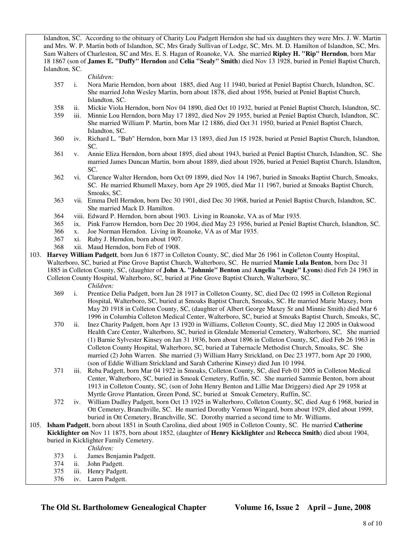Islandton, SC. According to the obituary of Charity Lou Padgett Herndon she had six daughters they were Mrs. J. W. Martin and Mrs. W. P. Martin both of Islandton, SC, Mrs Grady Sullivan of Lodge, SC, Mrs. M. D. Hamilton of Islandton, SC, Mrs. Sam Walters of Charleston, SC and Mrs. E. S. Hagan of Roanoke, VA. She married **Ripley H. "Rip" Herndon**, born Mar 18 1867 (son of **James E. "Duffy" Herndon** and **Celia "Sealy" Smith**) died Nov 13 1928, buried in Peniel Baptist Church, Islandton, SC.

# *Children:*

- 357 i. Nora Marie Herndon, born about 1885, died Aug 11 1940, buried at Peniel Baptist Church, Islandton, SC. She married John Wesley Martin, born about 1878, died about 1956, buried at Peniel Baptist Church, Islandton, SC.
- 358 ii. Mickie Viola Herndon, born Nov 04 1890, died Oct 10 1932, buried at Peniel Baptist Church, Islandton, SC.
- 359 iii. Minnie Lou Herndon, born May 17 1892, died Nov 29 1955, buried at Peniel Baptist Church, Islandton, SC. She married William P. Martin, born Mar 12 1886, died Oct 31 1950, buried at Peniel Baptist Church, Islandton, SC.
- 360 iv. Richard L. "Bub" Herndon, born Mar 13 1893, died Jun 15 1928, buried at Peniel Baptist Church, Islandton, SC.
- 361 v. Annie Eliza Herndon, born about 1895, died about 1943, buried at Peniel Baptist Church, Islandton, SC. She married James Duncan Martin, born about 1889, died about 1926, buried at Peniel Baptist Church, Islandton, SC.
- 362 vi. Clarence Walter Herndon, born Oct 09 1899, died Nov 14 1967, buried in Smoaks Baptist Church, Smoaks, SC. He married Rhumell Maxey, born Apr 29 1905, died Mar 11 1967, buried at Smoaks Baptist Church, Smoaks, SC.
- 363 vii. Emma Dell Herndon, born Dec 30 1901, died Dec 30 1968, buried at Peniel Baptist Church, Islandton, SC. She married Mack D. Hamilton.
- 364 viii. Edward P. Herndon, born about 1903. Living in Roanoke, VA as of Mar 1935.
- 365 ix. Pink Farrow Herndon, born Dec 20 1904, died May 23 1956, buried at Peniel Baptist Church, Islandton, SC.
- 366 x. Joe Norman Herndon. Living in Roanoke, VA as of Mar 1935.
- 367 xi. Ruby J. Herndon, born about 1907.
- 368 xii. Maud Herndon, born Feb of 1908.
- 103. **Harvey William Padgett**, born Jun 6 1877 in Colleton County, SC, died Mar 26 1961 in Colleton County Hospital, Walterboro, SC, buried at Pine Grove Baptist Church, Walterboro, SC. He married **Mamie Lula Benton**, born Dec 31 1885 in Colleton County, SC, (daughter of **John A. "Johnnie" Benton** and **Angelia "Angie" Lyons**) died Feb 24 1963 in Colleton County Hospital, Walterboro, SC, buried at Pine Grove Baptist Church, Walterboro, SC. *Children:*
	- 369 i. Prentice Delia Padgett, born Jan 28 1917 in Colleton County, SC, died Dec 02 1995 in Colleton Regional Hospital, Walterboro, SC, buried at Smoaks Baptist Church, Smoaks, SC. He married Marie Maxey, born May 20 1918 in Colleton County, SC, (daughter of Albert George Maxey Sr and Minnie Smith) died Mar 6 1996 in Columbia Colleton Medical Center, Walterboro, SC, buried at Smoaks Baptist Church, Smoaks, SC,
	- 370 ii. Inez Charity Padgett, born Apr 13 1920 in Williams, Colleton County, SC, died May 12 2005 in Oakwood Health Care Center, Walterboro, SC, buried in Glendale Memorial Cemetery, Walterboro, SC, She married (1) Barnie Sylvester Kinsey on Jan 31 1936, born about 1896 in Colleton County, SC, died Feb 26 1963 in Colleton County Hospital, Walterboro, SC, buried at Tabernacle Methodist Church, Smoaks, SC. She married (2) John Warren. She married (3) William Harry Strickland, on Dec 23 1977, born Apr 20 1900, (son of Eddie William Strickland and Sarah Catherine Kinsey) died Jun 10 1994.
	- 371 iii. Reba Padgett, born Mar 04 1922 in Smoaks, Colleton County, SC, died Feb 01 2005 in Colleton Medical Center, Walterboro, SC, buried in Smoak Cemetery, Ruffin, SC. She married Sammie Benton, born about 1913 in Colleton County, SC, (son of John Henry Benton and Lillie Mae Driggers) died Apr 29 1958 at Myrtle Grove Plantation, Green Pond, SC, buried at Smoak Cemetery, Ruffin, SC.
	- 372 iv. William Dudley Padgett, born Oct 13 1925 in Walterboro, Colleton County, SC, died Aug 6 1968, buried in Ott Cemetery, Branchville, SC. He married Dorothy Vernon Wingard, born about 1929, died about 1999, buried in Ott Cemetery, Branchville, SC. Dorothy married a second time to Mr. Williams.
- 105. **Isham Padgett**, born about 1851 in South Carolina, died about 1905 in Colleton County, SC. He married **Catherine Kicklighter on** Nov 11 1875, born about 1852, (daughter of **Henry Kicklighter** and **Rebecca Smith**) died about 1904, buried in Kicklighter Family Cemetery.

*Children:*

- 373 i. James Benjamin Padgett.
- 374 ii. John Padgett.
- 375 iii. Henry Padgett.
- 376 iv. Laren Padgett.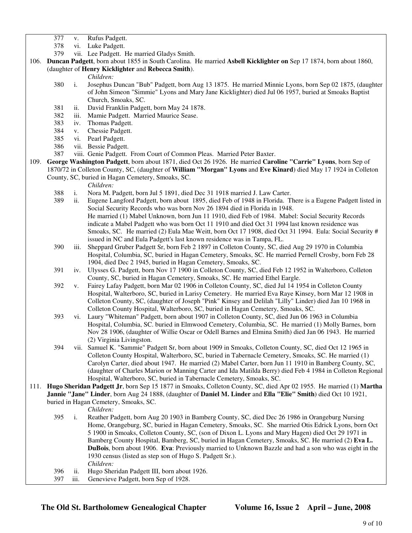- 377 v. Rufus Padgett.
- 378 vi. Luke Padgett.
- 379 vii. Lee Padgett. He married Gladys Smith.
- 106. **Duncan Padgett**, born about 1855 in South Carolina. He married **Asbell Kicklighter on** Sep 17 1874, born about 1860, (daughter of **Henry Kicklighter** and **Rebecca Smith**).

# *Children:*

- 380 i. Josephus Duncan "Bub" Padgett, born Aug 13 1875. He married Minnie Lyons, born Sep 02 1875, (daughter of John Simeon "Simmie" Lyons and Mary Jane Kicklighter) died Jul 06 1957, buried at Smoaks Baptist Church, Smoaks, SC.
- 381 ii. David Franklin Padgett, born May 24 1878.
- 382 iii. Mamie Padgett. Married Maurice Sease.
- 383 iv. Thomas Padgett.
- 384 v. Chessie Padgett.
- 385 vi. Pearl Padgett.
- 386 vii. Bessie Padgett.
- 387 viii. Genie Padgett. From Court of Common Pleas. Married Peter Baxter.
- 109. **George Washington Padgett**, born about 1871, died Oct 26 1926. He married **Caroline "Carrie" Lyons**, born Sep of 1870/72 in Colleton County, SC, (daughter of **William "Morgan" Lyons** and **Eve Kinard**) died May 17 1924 in Colleton County, SC, buried in Hagan Cemetery, Smoaks, SC.

*Children:*

- 388 i. Nora M. Padgett, born Jul 5 1891, died Dec 31 1918 married J. Law Carter.
- 389 ii. Eugene Langford Padgett, born about 1895, died Feb of 1948 in Florida. There is a Eugene Padgett listed in Social Security Records who was born Nov 26 1894 died in Florida in 1948. He married (1) Mabel Unknown, born Jun 11 1910, died Feb of 1984. Mabel: Social Security Records indicate a Mabel Padgett who was born Oct 11 1910 and died Oct 31 1994 last known residence was Smoaks, SC. He married (2) Eula Mae Weitt, born Oct 17 1908, died Oct 31 1994. Eula: Social Security # issued in NC and Eula Padgett's last known residence was in Tampa, FL.
- 390 iii. Sheppard Gruber Padgett Sr, born Feb 2 1897 in Colleton County, SC, died Aug 29 1970 in Columbia Hospital, Columbia, SC, buried in Hagan Cemetery, Smoaks, SC. He married Pernell Crosby, born Feb 28 1904, died Dec 2 1945, buried in Hagan Cemetery, Smoaks, SC.
- 391 iv. Ulysses G. Padgett, born Nov 17 1900 in Colleton County, SC, died Feb 12 1952 in Walterboro, Colleton County, SC, buried in Hagan Cemetery, Smoaks, SC. He married Ethel Eargle.
- 392 v. Fairey Lafay Padgett, born Mar 02 1906 in Colleton County, SC, died Jul 14 1954 in Colleton County Hospital, Walterboro, SC, buried in Larisy Cemetery. He married Eva Raye Kinsey, born Mar 12 1908 in Colleton County, SC, (daughter of Joseph "Pink" Kinsey and Delilah "Lilly" Linder) died Jan 10 1968 in Colleton County Hospital, Walterboro, SC, buried in Hagan Cemetery, Smoaks, SC.
- 393 vi. Laury "Whiteman" Padgett, born about 1907 in Colleton County, SC, died Jun 06 1963 in Columbia Hospital, Columbia, SC. buried in Elmwood Cemetery, Columbia, SC. He married (1) Molly Barnes, born Nov 28 1906, (daughter of Willie Oscar or Odell Barnes and Elmina Smith) died Jan 06 1943. He married (2) Virginia Livingston.
- 394 vii. Samuel K. "Sammie" Padgett Sr, born about 1909 in Smoaks, Colleton County, SC, died Oct 12 1965 in Colleton County Hospital, Walterboro, SC, buried in Tabernacle Cemetery, Smoaks, SC. He married (1) Carolyn Carter, died about 1947. He married (2) Mabel Carter, born Jun 11 1910 in Bamberg County, SC, (daughter of Charles Marion or Manning Carter and Ida Matilda Berry) died Feb 4 1984 in Colleton Regional Hospital, Walterboro, SC, buried in Tabernacle Cemetery, Smoaks, SC.
- 111. **Hugo Sheridan Padgett Jr**, born Sep 15 1877 in Smoaks, Colleton County, SC, died Apr 02 1955. He married (1) **Martha Jannie "Jane" Linder**, born Aug 24 1888, (daughter of **Daniel M. Linder** and **Ella "Elie" Smith**) died Oct 10 1921, buried in Hagan Cemetery, Smoaks, SC.

*Children:*

- 395 i. Reather Padgett, born Aug 20 1903 in Bamberg County, SC, died Dec 26 1986 in Orangeburg Nursing Home, Orangeburg, SC, buried in Hagan Cemetery, Smoaks, SC. She married Otis Edrick Lyons, born Oct 5 1900 in Smoaks, Colleton County, SC, (son of Dixon L. Lyons and Mary Hagen) died Oct 29 1971 in Bamberg County Hospital, Bamberg, SC, buried in Hagan Cemetery, Smoaks, SC. He married (2) **Eva L. DuBois**, born about 1906. **Eva**: Previously married to Unknown Bazzle and had a son who was eight in the 1930 census (listed as step son of Hugo S. Padgett Sr.). *Children:*
- 396 ii. Hugo Sheridan Padgett III, born about 1926.
- 397 iii. Genevieve Padgett, born Sep of 1928.